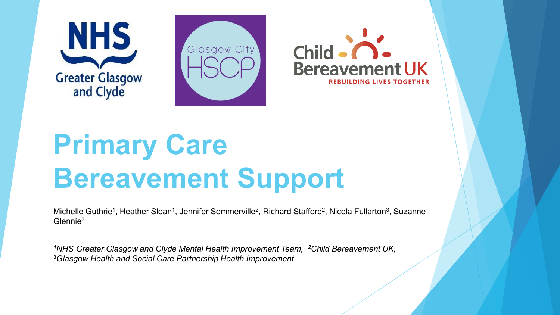





# **Primary Care Bereavement Support**

Michelle Guthrie<sup>1</sup>, Heather Sloan<sup>1</sup>, Jennifer Sommerville<sup>2</sup>, Richard Stafford<sup>2</sup>, Nicola Fullarton<sup>3</sup>, Suzanne Glennie3

*<sup>1</sup>NHS Greater Glasgow and Clyde Mental Health Improvement Team, <sup>2</sup>Child Bereavement UK, 3Glasgow Health and Social Care Partnership Health Improvement*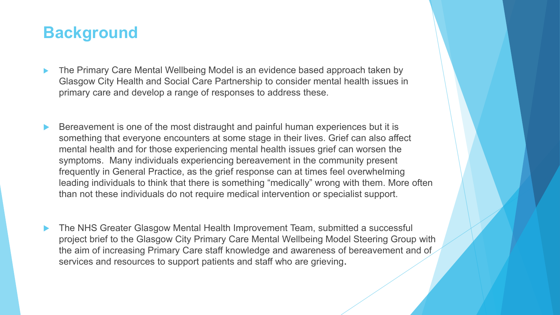### **Background**

- The Primary Care Mental Wellbeing Model is an evidence based approach taken by Glasgow City Health and Social Care Partnership to consider mental health issues in primary care and develop a range of responses to address these.
- Bereavement is one of the most distraught and painful human experiences but it is something that everyone encounters at some stage in their lives. Grief can also affect mental health and for those experiencing mental health issues grief can worsen the symptoms. Many individuals experiencing bereavement in the community present frequently in General Practice, as the grief response can at times feel overwhelming leading individuals to think that there is something "medically" wrong with them. More often than not these individuals do not require medical intervention or specialist support.
- The NHS Greater Glasgow Mental Health Improvement Team, submitted a successful project brief to the Glasgow City Primary Care Mental Wellbeing Model Steering Group with the aim of increasing Primary Care staff knowledge and awareness of bereavement and of services and resources to support patients and staff who are grieving.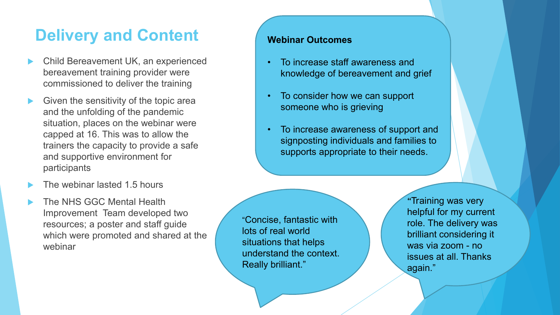## **Delivery and Content**

- ▶ Child Bereavement UK, an experienced bereavement training provider were commissioned to deliver the training
- Given the sensitivity of the topic area and the unfolding of the pandemic situation, places on the webinar were capped at 16. This was to allow the trainers the capacity to provide a safe and supportive environment for participants
- The webinar lasted 1.5 hours
- The NHS GGC Mental Health Improvement Team developed two resources; a poster and staff guide which were promoted and shared at the webinar

#### **Webinar Outcomes**

- To increase staff awareness and knowledge of bereavement and grief
- To consider how we can support someone who is grieving
- To increase awareness of support and signposting individuals and families to supports appropriate to their needs.

"Concise, fantastic with lots of real world situations that helps understand the context. Really brilliant."

"Training was very helpful for my current role. The delivery was brilliant considering it was via zoom - no issues at all. Thanks again."